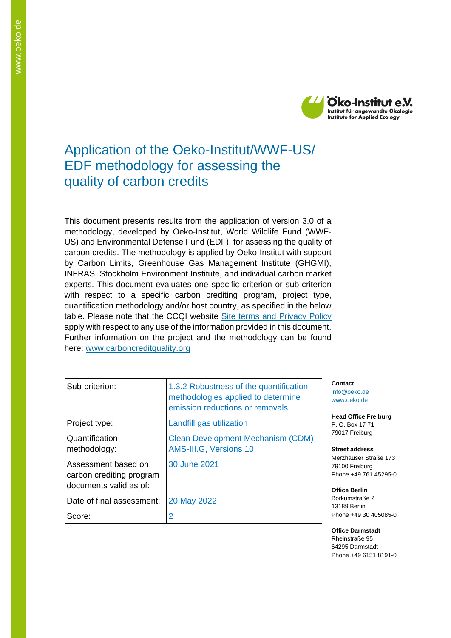

## Application of the Oeko-Institut/WWF-US/ EDF methodology for assessing the quality of carbon credits

This document presents results from the application of version 3.0 of a methodology, developed by Oeko-Institut, World Wildlife Fund (WWF-US) and Environmental Defense Fund (EDF), for assessing the quality of carbon credits. The methodology is applied by Oeko-Institut with support by Carbon Limits, Greenhouse Gas Management Institute (GHGMI), INFRAS, Stockholm Environment Institute, and individual carbon market experts. This document evaluates one specific criterion or sub-criterion with respect to a specific carbon crediting program, project type, quantification methodology and/or host country, as specified in the below table. Please note that the CCQI website [Site terms and Privacy Policy](https://carboncreditquality.org/terms.html) apply with respect to any use of the information provided in this document. Further information on the project and the methodology can be found here: [www.carboncreditquality.org](http://www.carboncreditquality.org/)

| Sub-criterion:                                                            | 1.3.2 Robustness of the quantification<br>methodologies applied to determine<br>emission reductions or removals |
|---------------------------------------------------------------------------|-----------------------------------------------------------------------------------------------------------------|
| Project type:                                                             | Landfill gas utilization                                                                                        |
| Quantification<br>methodology:                                            | <b>Clean Development Mechanism (CDM)</b><br>AMS-III.G, Versions 10                                              |
| Assessment based on<br>carbon crediting program<br>documents valid as of: | 30 June 2021                                                                                                    |
| Date of final assessment:                                                 | 20 May 2022                                                                                                     |
| Score:                                                                    | 2                                                                                                               |

**Contact** [info@oeko.de](mailto:info@oeko.de) [www.oeko.de](http://www.oeko.de/)

**Head Office Freiburg** P. O. Box 17 71 79017 Freiburg

**Street address** Merzhauser Straße 173 79100 Freiburg Phone +49 761 45295-0

**Office Berlin** Borkumstraße 2 13189 Berlin Phone +49 30 405085-0

**Office Darmstadt** Rheinstraße 95 64295 Darmstadt Phone +49 6151 8191-0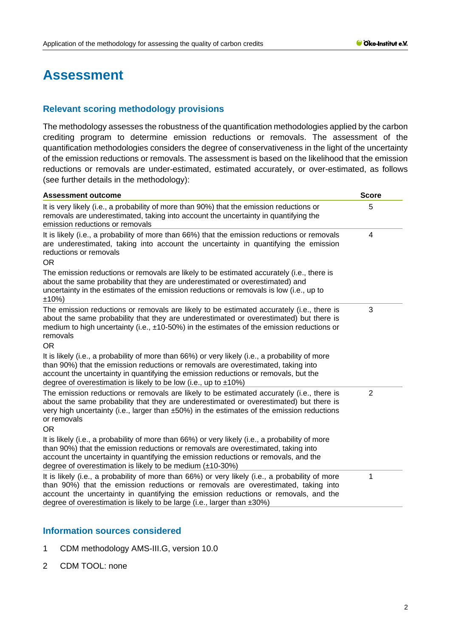# **Assessment**

## **Relevant scoring methodology provisions**

The methodology assesses the robustness of the quantification methodologies applied by the carbon crediting program to determine emission reductions or removals. The assessment of the quantification methodologies considers the degree of conservativeness in the light of the uncertainty of the emission reductions or removals. The assessment is based on the likelihood that the emission reductions or removals are under-estimated, estimated accurately, or over-estimated, as follows (see further details in the methodology):

| <b>Assessment outcome</b>                                                                                                                                                                                                                                                                                                                                     | <b>Score</b>   |  |
|---------------------------------------------------------------------------------------------------------------------------------------------------------------------------------------------------------------------------------------------------------------------------------------------------------------------------------------------------------------|----------------|--|
| It is very likely (i.e., a probability of more than 90%) that the emission reductions or<br>removals are underestimated, taking into account the uncertainty in quantifying the<br>emission reductions or removals                                                                                                                                            | 5              |  |
| It is likely (i.e., a probability of more than 66%) that the emission reductions or removals<br>are underestimated, taking into account the uncertainty in quantifying the emission<br>reductions or removals<br><b>OR</b>                                                                                                                                    |                |  |
| The emission reductions or removals are likely to be estimated accurately (i.e., there is<br>about the same probability that they are underestimated or overestimated) and<br>uncertainty in the estimates of the emission reductions or removals is low (i.e., up to<br>±10%)                                                                                |                |  |
| The emission reductions or removals are likely to be estimated accurately (i.e., there is<br>about the same probability that they are underestimated or overestimated) but there is<br>medium to high uncertainty (i.e., $\pm$ 10-50%) in the estimates of the emission reductions or<br>removals<br><b>OR</b>                                                | 3              |  |
| It is likely (i.e., a probability of more than 66%) or very likely (i.e., a probability of more<br>than 90%) that the emission reductions or removals are overestimated, taking into<br>account the uncertainty in quantifying the emission reductions or removals, but the<br>degree of overestimation is likely to be low (i.e., up to $\pm 10\%$ )         |                |  |
| The emission reductions or removals are likely to be estimated accurately (i.e., there is<br>about the same probability that they are underestimated or overestimated) but there is<br>very high uncertainty (i.e., larger than ±50%) in the estimates of the emission reductions<br>or removals<br><b>OR</b>                                                 | $\overline{2}$ |  |
| It is likely (i.e., a probability of more than 66%) or very likely (i.e., a probability of more<br>than 90%) that the emission reductions or removals are overestimated, taking into<br>account the uncertainty in quantifying the emission reductions or removals, and the<br>degree of overestimation is likely to be medium $(\pm 10-30\%)$                |                |  |
| It is likely (i.e., a probability of more than 66%) or very likely (i.e., a probability of more<br>than 90%) that the emission reductions or removals are overestimated, taking into<br>account the uncertainty in quantifying the emission reductions or removals, and the<br>degree of overestimation is likely to be large (i.e., larger than $\pm 30\%$ ) | 1              |  |

### **Information sources considered**

- 1 CDM methodology AMS-III.G, version 10.0
- 2 CDM TOOL: none